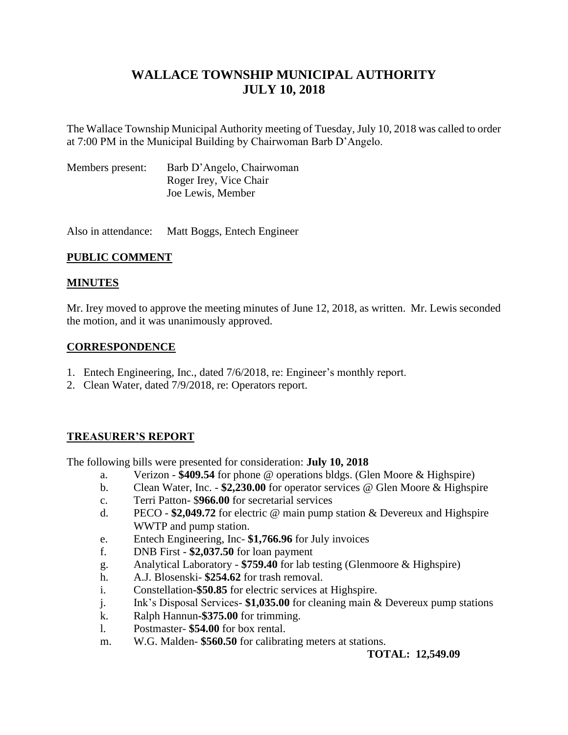# **WALLACE TOWNSHIP MUNICIPAL AUTHORITY JULY 10, 2018**

The Wallace Township Municipal Authority meeting of Tuesday, July 10, 2018 was called to order at 7:00 PM in the Municipal Building by Chairwoman Barb D'Angelo.

| Members present: | Barb D'Angelo, Chairwoman |
|------------------|---------------------------|
|                  | Roger Irey, Vice Chair    |
|                  | Joe Lewis, Member         |

Also in attendance: Matt Boggs, Entech Engineer

# **PUBLIC COMMENT**

# **MINUTES**

Mr. Irey moved to approve the meeting minutes of June 12, 2018, as written. Mr. Lewis seconded the motion, and it was unanimously approved.

# **CORRESPONDENCE**

- 1. Entech Engineering, Inc., dated 7/6/2018, re: Engineer's monthly report.
- 2. Clean Water, dated 7/9/2018, re: Operators report.

# **TREASURER'S REPORT**

The following bills were presented for consideration: **July 10, 2018**

- a. Verizon **\$409.54** for phone @ operations bldgs. (Glen Moore & Highspire)
- b. Clean Water, Inc. **\$2,230.00** for operator services @ Glen Moore & Highspire
- c. Terri Patton- \$**966.00** for secretarial services
- d. PECO **\$2,049.72** for electric @ main pump station & Devereux and Highspire WWTP and pump station.
- e. Entech Engineering, Inc- **\$1,766.96** for July invoices
- f. DNB First **\$2,037.50** for loan payment
- g. Analytical Laboratory **\$759.40** for lab testing (Glenmoore & Highspire)
- h. A.J. Blosenski- **\$254.62** for trash removal.
- i. Constellation**-\$50.85** for electric services at Highspire.
- j. Ink's Disposal Services- **\$1,035.00** for cleaning main & Devereux pump stations
- k. Ralph Hannun**-\$375.00** for trimming.
- l. Postmaster- **\$54.00** for box rental.
- m. W.G. Malden- **\$560.50** for calibrating meters at stations.

**TOTAL: 12,549.09**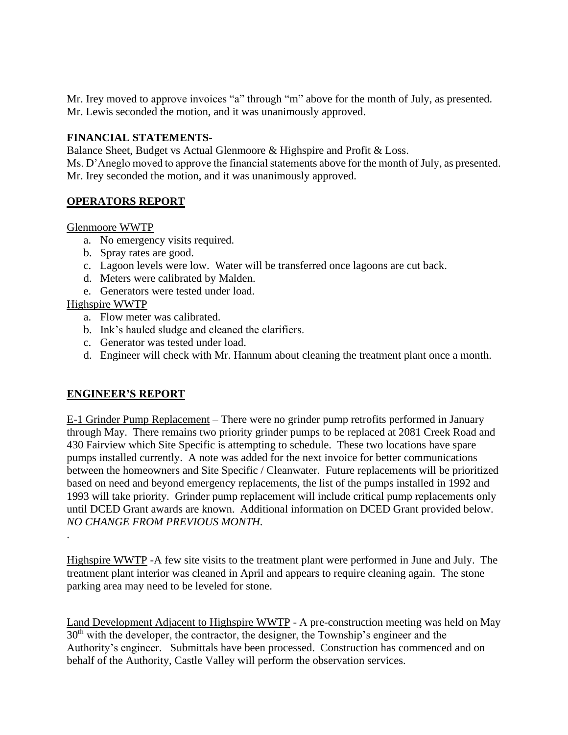Mr. Irey moved to approve invoices "a" through "m" above for the month of July, as presented. Mr. Lewis seconded the motion, and it was unanimously approved.

# **FINANCIAL STATEMENTS**-

Balance Sheet, Budget vs Actual Glenmoore & Highspire and Profit & Loss.

Ms. D'Aneglo moved to approve the financial statements above for the month of July, as presented. Mr. Irey seconded the motion, and it was unanimously approved.

# **OPERATORS REPORT**

#### Glenmoore WWTP

- a. No emergency visits required.
- b. Spray rates are good.
- c. Lagoon levels were low. Water will be transferred once lagoons are cut back.
- d. Meters were calibrated by Malden.
- e. Generators were tested under load.

# Highspire WWTP

.

- a. Flow meter was calibrated.
- b. Ink's hauled sludge and cleaned the clarifiers.
- c. Generator was tested under load.
- d. Engineer will check with Mr. Hannum about cleaning the treatment plant once a month.

# **ENGINEER'S REPORT**

E-1 Grinder Pump Replacement – There were no grinder pump retrofits performed in January through May. There remains two priority grinder pumps to be replaced at 2081 Creek Road and 430 Fairview which Site Specific is attempting to schedule. These two locations have spare pumps installed currently. A note was added for the next invoice for better communications between the homeowners and Site Specific / Cleanwater. Future replacements will be prioritized based on need and beyond emergency replacements, the list of the pumps installed in 1992 and 1993 will take priority. Grinder pump replacement will include critical pump replacements only until DCED Grant awards are known. Additional information on DCED Grant provided below. *NO CHANGE FROM PREVIOUS MONTH.*

Highspire WWTP -A few site visits to the treatment plant were performed in June and July. The treatment plant interior was cleaned in April and appears to require cleaning again. The stone parking area may need to be leveled for stone.

Land Development Adjacent to Highspire WWTP - A pre-construction meeting was held on May 30<sup>th</sup> with the developer, the contractor, the designer, the Township's engineer and the Authority's engineer. Submittals have been processed. Construction has commenced and on behalf of the Authority, Castle Valley will perform the observation services.